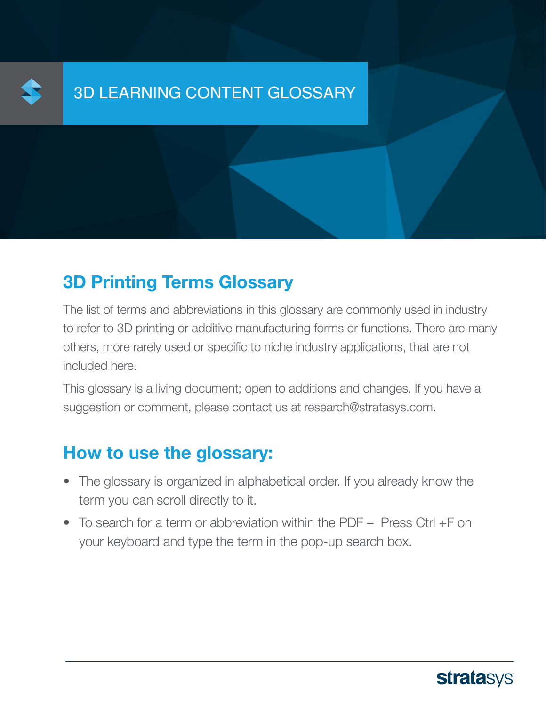

### **3D Printing Terms Glossary**

The list of terms and abbreviations in this glossary are commonly used in industry to refer to 3D printing or additive manufacturing forms or functions. There are many others, more rarely used or specific to niche industry applications, that are not included here.

This glossary is a living document; open to additions and changes. If you have a suggestion or comment, please contact us at research@stratasys.com.

### How to use the glossary:

- The glossary is organized in alphabetical order. If you already know the term you can scroll directly to it.
- $\bullet$  To search for a term or abbreviation within the PDF Press Ctrl +F on your keyboard and type the term in the pop-up search box.

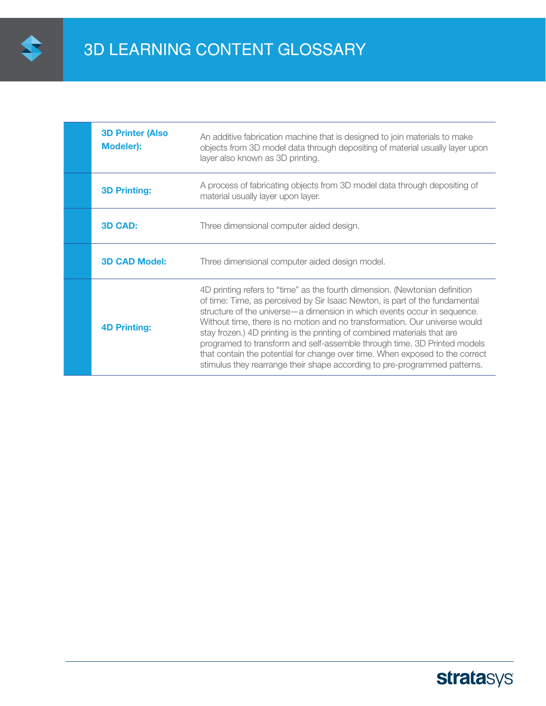

| <b>3D Printer (Also</b><br>Modeler): | An additive fabrication machine that is designed to join materials to make<br>objects from 3D model data through depositing of material usually layer upon<br>layer also known as 3D printing.                                                                                                                                                                                                                                                                                                                                                                                                                                              |
|--------------------------------------|---------------------------------------------------------------------------------------------------------------------------------------------------------------------------------------------------------------------------------------------------------------------------------------------------------------------------------------------------------------------------------------------------------------------------------------------------------------------------------------------------------------------------------------------------------------------------------------------------------------------------------------------|
| <b>3D Printing:</b>                  | A process of fabricating objects from 3D model data through depositing of<br>material usually layer upon layer.                                                                                                                                                                                                                                                                                                                                                                                                                                                                                                                             |
| <b>3D CAD:</b>                       | Three dimensional computer aided design.                                                                                                                                                                                                                                                                                                                                                                                                                                                                                                                                                                                                    |
| <b>3D CAD Model:</b>                 | Three dimensional computer aided design model.                                                                                                                                                                                                                                                                                                                                                                                                                                                                                                                                                                                              |
| <b>4D Printing:</b>                  | 4D printing refers to "time" as the fourth dimension. (Newtonian definition<br>of time: Time, as perceived by Sir Isaac Newton, is part of the fundamental<br>structure of the universe - a dimension in which events occur in sequence.<br>Without time, there is no motion and no transformation. Our universe would<br>stay frozen.) 4D printing is the printing of combined materials that are<br>programed to transform and self-assemble through time. 3D Printed models<br>that contain the potential for change over time. When exposed to the correct<br>stimulus they rearrange their shape according to pre-programmed patterns. |

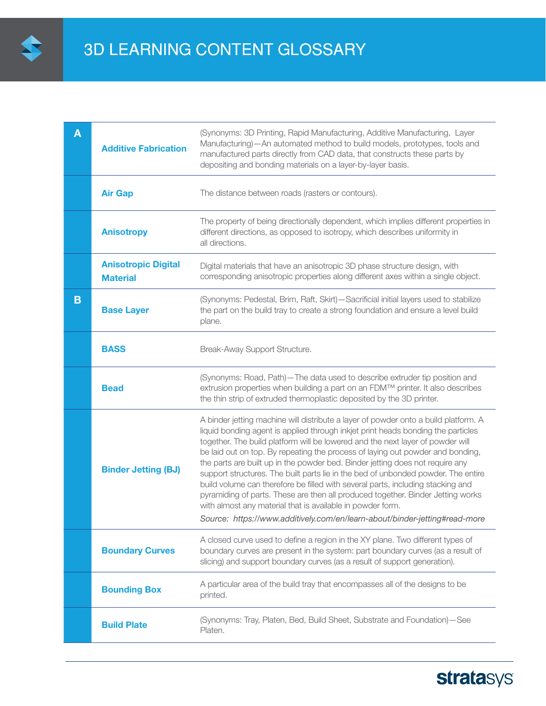

| A | <b>Additive Fabrication</b>                   | (Synonyms: 3D Printing, Rapid Manufacturing, Additive Manufacturing, Layer<br>Manufacturing)-An automated method to build models, prototypes, tools and<br>manufactured parts directly from CAD data, that constructs these parts by<br>depositing and bonding materials on a layer-by-layer basis.                                                                                                                                                                                                                                                                                                                                                                                                                                                   |
|---|-----------------------------------------------|-------------------------------------------------------------------------------------------------------------------------------------------------------------------------------------------------------------------------------------------------------------------------------------------------------------------------------------------------------------------------------------------------------------------------------------------------------------------------------------------------------------------------------------------------------------------------------------------------------------------------------------------------------------------------------------------------------------------------------------------------------|
|   | <b>Air Gap</b>                                | The distance between roads (rasters or contours).                                                                                                                                                                                                                                                                                                                                                                                                                                                                                                                                                                                                                                                                                                     |
|   | <b>Anisotropy</b>                             | The property of being directionally dependent, which implies different properties in<br>different directions, as opposed to isotropy, which describes uniformity in<br>all directions.                                                                                                                                                                                                                                                                                                                                                                                                                                                                                                                                                                |
|   | <b>Anisotropic Digital</b><br><b>Material</b> | Digital materials that have an anisotropic 3D phase structure design, with<br>corresponding anisotropic properties along different axes within a single object.                                                                                                                                                                                                                                                                                                                                                                                                                                                                                                                                                                                       |
| B | <b>Base Layer</b>                             | (Synonyms: Pedestal, Brim, Raft, Skirt)-Sacrificial initial layers used to stabilize<br>the part on the build tray to create a strong foundation and ensure a level build<br>plane.                                                                                                                                                                                                                                                                                                                                                                                                                                                                                                                                                                   |
|   | <b>BASS</b>                                   | Break-Away Support Structure.                                                                                                                                                                                                                                                                                                                                                                                                                                                                                                                                                                                                                                                                                                                         |
|   | <b>Bead</b>                                   | (Synonyms: Road, Path)-The data used to describe extruder tip position and<br>extrusion properties when building a part on an FDM™ printer. It also describes<br>the thin strip of extruded thermoplastic deposited by the 3D printer.                                                                                                                                                                                                                                                                                                                                                                                                                                                                                                                |
|   | <b>Binder Jetting (BJ)</b>                    | A binder jetting machine will distribute a layer of powder onto a build platform. A<br>liquid bonding agent is applied through inkjet print heads bonding the particles<br>together. The build platform will be lowered and the next layer of powder will<br>be laid out on top. By repeating the process of laying out powder and bonding,<br>the parts are built up in the powder bed. Binder jetting does not require any<br>support structures. The built parts lie in the bed of unbonded powder. The entire<br>build volume can therefore be filled with several parts, including stacking and<br>pyramiding of parts. These are then all produced together. Binder Jetting works<br>with almost any material that is available in powder form. |
|   |                                               | Source: https://www.additively.com/en/learn-about/binder-jetting#read-more                                                                                                                                                                                                                                                                                                                                                                                                                                                                                                                                                                                                                                                                            |
|   | <b>Boundary Curves</b>                        | A closed curve used to define a region in the XY plane. Two different types of<br>boundary curves are present in the system: part boundary curves (as a result of<br>slicing) and support boundary curves (as a result of support generation).                                                                                                                                                                                                                                                                                                                                                                                                                                                                                                        |
|   | <b>Bounding Box</b>                           | A particular area of the build tray that encompasses all of the designs to be<br>printed.                                                                                                                                                                                                                                                                                                                                                                                                                                                                                                                                                                                                                                                             |
|   | <b>Build Plate</b>                            | (Synonyms: Tray, Platen, Bed, Build Sheet, Substrate and Foundation)-See<br>Platen.                                                                                                                                                                                                                                                                                                                                                                                                                                                                                                                                                                                                                                                                   |

# **stratasys**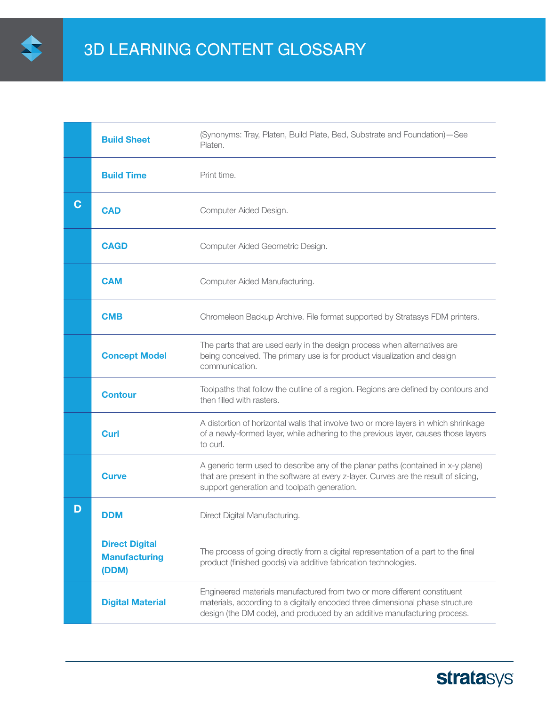

|   | <b>Build Sheet</b>                                     | (Synonyms: Tray, Platen, Build Plate, Bed, Substrate and Foundation) - See<br>Platen.                                                                                                                                                 |
|---|--------------------------------------------------------|---------------------------------------------------------------------------------------------------------------------------------------------------------------------------------------------------------------------------------------|
|   | <b>Build Time</b>                                      | Print time.                                                                                                                                                                                                                           |
| C | <b>CAD</b>                                             | Computer Aided Design.                                                                                                                                                                                                                |
|   | <b>CAGD</b>                                            | Computer Aided Geometric Design.                                                                                                                                                                                                      |
|   | <b>CAM</b>                                             | Computer Aided Manufacturing.                                                                                                                                                                                                         |
|   | <b>CMB</b>                                             | Chromeleon Backup Archive. File format supported by Stratasys FDM printers.                                                                                                                                                           |
|   | <b>Concept Model</b>                                   | The parts that are used early in the design process when alternatives are<br>being conceived. The primary use is for product visualization and design<br>communication.                                                               |
|   | <b>Contour</b>                                         | Toolpaths that follow the outline of a region. Regions are defined by contours and<br>then filled with rasters.                                                                                                                       |
|   | <b>Curl</b>                                            | A distortion of horizontal walls that involve two or more layers in which shrinkage<br>of a newly-formed layer, while adhering to the previous layer, causes those layers<br>to curl.                                                 |
|   | <b>Curve</b>                                           | A generic term used to describe any of the planar paths (contained in x-y plane)<br>that are present in the software at every z-layer. Curves are the result of slicing,<br>support generation and toolpath generation.               |
| D | DDM                                                    | Direct Digital Manufacturing.                                                                                                                                                                                                         |
|   | <b>Direct Digital</b><br><b>Manufacturing</b><br>(DDM) | The process of going directly from a digital representation of a part to the final<br>product (finished goods) via additive fabrication technologies.                                                                                 |
|   | <b>Digital Material</b>                                | Engineered materials manufactured from two or more different constituent<br>materials, according to a digitally encoded three dimensional phase structure<br>design (the DM code), and produced by an additive manufacturing process. |

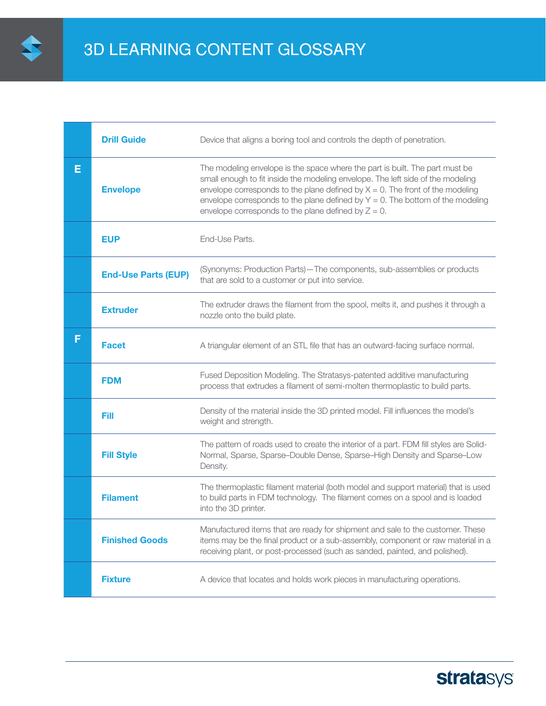

|   | <b>Drill Guide</b>         | Device that aligns a boring tool and controls the depth of penetration.                                                                                                                                                                                                                                                                                                                            |
|---|----------------------------|----------------------------------------------------------------------------------------------------------------------------------------------------------------------------------------------------------------------------------------------------------------------------------------------------------------------------------------------------------------------------------------------------|
| Е | <b>Envelope</b>            | The modeling envelope is the space where the part is built. The part must be<br>small enough to fit inside the modeling envelope. The left side of the modeling<br>envelope corresponds to the plane defined by $X = 0$ . The front of the modeling<br>envelope corresponds to the plane defined by $Y = 0$ . The bottom of the modeling<br>envelope corresponds to the plane defined by $Z = 0$ . |
|   | <b>EUP</b>                 | End-Use Parts.                                                                                                                                                                                                                                                                                                                                                                                     |
|   | <b>End-Use Parts (EUP)</b> | (Synonyms: Production Parts)-The components, sub-assemblies or products<br>that are sold to a customer or put into service.                                                                                                                                                                                                                                                                        |
|   | <b>Extruder</b>            | The extruder draws the filament from the spool, melts it, and pushes it through a<br>nozzle onto the build plate.                                                                                                                                                                                                                                                                                  |
| F | <b>Facet</b>               | A triangular element of an STL file that has an outward-facing surface normal.                                                                                                                                                                                                                                                                                                                     |
|   | <b>FDM</b>                 | Fused Deposition Modeling. The Stratasys-patented additive manufacturing<br>process that extrudes a filament of semi-molten thermoplastic to build parts.                                                                                                                                                                                                                                          |
|   | Fill                       | Density of the material inside the 3D printed model. Fill influences the model's<br>weight and strength.                                                                                                                                                                                                                                                                                           |
|   | <b>Fill Style</b>          | The pattern of roads used to create the interior of a part. FDM fill styles are Solid-<br>Normal, Sparse, Sparse-Double Dense, Sparse-High Density and Sparse-Low<br>Density.                                                                                                                                                                                                                      |
|   | <b>Filament</b>            | The thermoplastic filament material (both model and support material) that is used<br>to build parts in FDM technology. The filament comes on a spool and is loaded<br>into the 3D printer.                                                                                                                                                                                                        |
|   | <b>Finished Goods</b>      | Manufactured items that are ready for shipment and sale to the customer. These<br>items may be the final product or a sub-assembly, component or raw material in a<br>receiving plant, or post-processed (such as sanded, painted, and polished).                                                                                                                                                  |
|   | <b>Fixture</b>             | A device that locates and holds work pieces in manufacturing operations.                                                                                                                                                                                                                                                                                                                           |

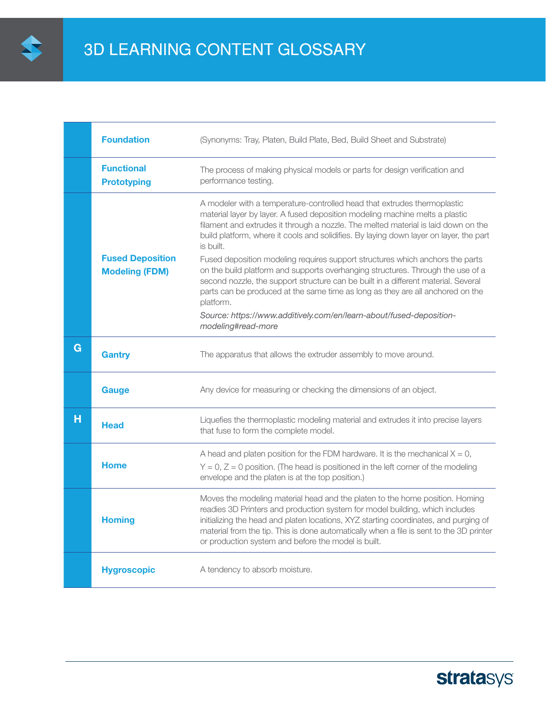

|   | <b>Foundation</b>                                | (Synonyms: Tray, Platen, Build Plate, Bed, Build Sheet and Substrate)                                                                                                                                                                                                                                                                                                                                  |
|---|--------------------------------------------------|--------------------------------------------------------------------------------------------------------------------------------------------------------------------------------------------------------------------------------------------------------------------------------------------------------------------------------------------------------------------------------------------------------|
|   | <b>Functional</b><br><b>Prototyping</b>          | The process of making physical models or parts for design verification and<br>performance testing.                                                                                                                                                                                                                                                                                                     |
|   |                                                  | A modeler with a temperature-controlled head that extrudes thermoplastic<br>material layer by layer. A fused deposition modeling machine melts a plastic<br>filament and extrudes it through a nozzle. The melted material is laid down on the<br>build platform, where it cools and solidifies. By laying down layer on layer, the part<br>is built.                                                  |
|   | <b>Fused Deposition</b><br><b>Modeling (FDM)</b> | Fused deposition modeling requires support structures which anchors the parts<br>on the build platform and supports overhanging structures. Through the use of a<br>second nozzle, the support structure can be built in a different material. Several<br>parts can be produced at the same time as long as they are all anchored on the<br>platform.                                                  |
|   |                                                  | Source: https://www.additively.com/en/learn-about/fused-deposition-<br>modeling#read-more                                                                                                                                                                                                                                                                                                              |
| G | <b>Gantry</b>                                    | The apparatus that allows the extruder assembly to move around.                                                                                                                                                                                                                                                                                                                                        |
|   | <b>Gauge</b>                                     | Any device for measuring or checking the dimensions of an object.                                                                                                                                                                                                                                                                                                                                      |
| н | <b>Head</b>                                      | Liquefies the thermoplastic modeling material and extrudes it into precise layers<br>that fuse to form the complete model.                                                                                                                                                                                                                                                                             |
|   | <b>Home</b>                                      | A head and platen position for the FDM hardware. It is the mechanical $X = 0$ ,<br>$Y = 0$ , $Z = 0$ position. (The head is positioned in the left corner of the modeling<br>envelope and the platen is at the top position.)                                                                                                                                                                          |
|   | <b>Homing</b>                                    | Moves the modeling material head and the platen to the home position. Homing<br>readies 3D Printers and production system for model building, which includes<br>initializing the head and platen locations, XYZ starting coordinates, and purging of<br>material from the tip. This is done automatically when a file is sent to the 3D printer<br>or production system and before the model is built. |
|   | <b>Hygroscopic</b>                               | A tendency to absorb moisture.                                                                                                                                                                                                                                                                                                                                                                         |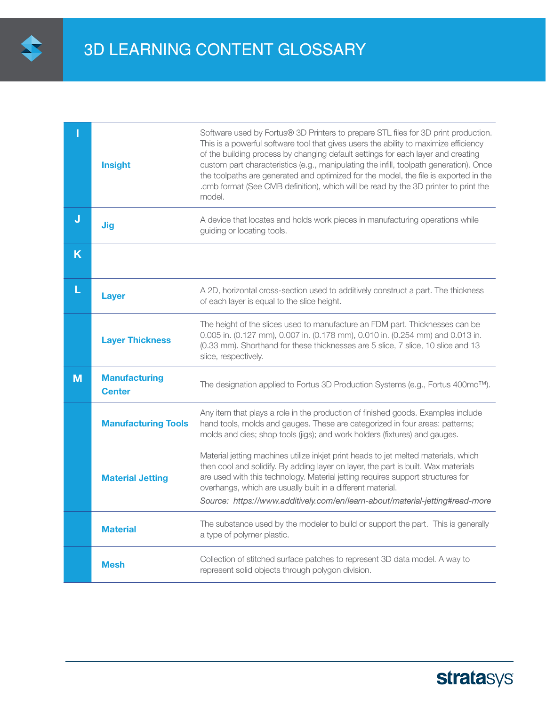

|   | <b>Insight</b>                        | Software used by Fortus® 3D Printers to prepare STL files for 3D print production.<br>This is a powerful software tool that gives users the ability to maximize efficiency<br>of the building process by changing default settings for each layer and creating<br>custom part characteristics (e.g., manipulating the infill, toolpath generation). Once<br>the toolpaths are generated and optimized for the model, the file is exported in the<br>.cmb format (See CMB definition), which will be read by the 3D printer to print the<br>model. |
|---|---------------------------------------|---------------------------------------------------------------------------------------------------------------------------------------------------------------------------------------------------------------------------------------------------------------------------------------------------------------------------------------------------------------------------------------------------------------------------------------------------------------------------------------------------------------------------------------------------|
| J | <b>Jig</b>                            | A device that locates and holds work pieces in manufacturing operations while<br>guiding or locating tools.                                                                                                                                                                                                                                                                                                                                                                                                                                       |
| K |                                       |                                                                                                                                                                                                                                                                                                                                                                                                                                                                                                                                                   |
| L | <b>Layer</b>                          | A 2D, horizontal cross-section used to additively construct a part. The thickness<br>of each layer is equal to the slice height.                                                                                                                                                                                                                                                                                                                                                                                                                  |
|   | <b>Layer Thickness</b>                | The height of the slices used to manufacture an FDM part. Thicknesses can be<br>0.005 in. (0.127 mm), 0.007 in. (0.178 mm), 0.010 in. (0.254 mm) and 0.013 in.<br>(0.33 mm). Shorthand for these thicknesses are 5 slice, 7 slice, 10 slice and 13<br>slice, respectively.                                                                                                                                                                                                                                                                        |
| M | <b>Manufacturing</b><br><b>Center</b> | The designation applied to Fortus 3D Production Systems (e.g., Fortus 400mc™).                                                                                                                                                                                                                                                                                                                                                                                                                                                                    |
|   | <b>Manufacturing Tools</b>            | Any item that plays a role in the production of finished goods. Examples include<br>hand tools, molds and gauges. These are categorized in four areas: patterns;<br>molds and dies; shop tools (jigs); and work holders (fixtures) and gauges.                                                                                                                                                                                                                                                                                                    |
|   | <b>Material Jetting</b>               | Material jetting machines utilize inkjet print heads to jet melted materials, which<br>then cool and solidify. By adding layer on layer, the part is built. Wax materials<br>are used with this technology. Material jetting requires support structures for<br>overhangs, which are usually built in a different material.<br>Source: https://www.additively.com/en/learn-about/material-jetting#read-more                                                                                                                                       |
|   | <b>Material</b>                       | The substance used by the modeler to build or support the part. This is generally<br>a type of polymer plastic.                                                                                                                                                                                                                                                                                                                                                                                                                                   |
|   | <b>Mesh</b>                           | Collection of stitched surface patches to represent 3D data model. A way to<br>represent solid objects through polygon division.                                                                                                                                                                                                                                                                                                                                                                                                                  |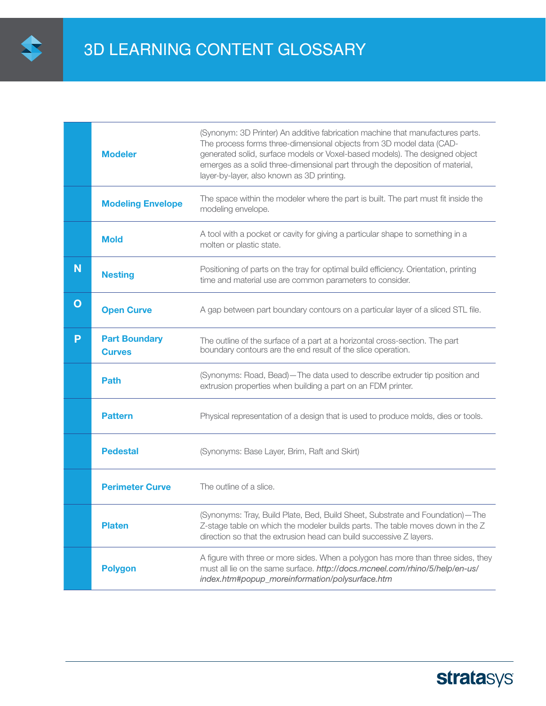

| <b>Modeler</b>                        | (Synonym: 3D Printer) An additive fabrication machine that manufactures parts.<br>The process forms three-dimensional objects from 3D model data (CAD-<br>generated solid, surface models or Voxel-based models). The designed object<br>emerges as a solid three-dimensional part through the deposition of material,<br>layer-by-layer, also known as 3D printing. |
|---------------------------------------|----------------------------------------------------------------------------------------------------------------------------------------------------------------------------------------------------------------------------------------------------------------------------------------------------------------------------------------------------------------------|
| <b>Modeling Envelope</b>              | The space within the modeler where the part is built. The part must fit inside the<br>modeling envelope.                                                                                                                                                                                                                                                             |
| <b>Mold</b>                           | A tool with a pocket or cavity for giving a particular shape to something in a<br>molten or plastic state.                                                                                                                                                                                                                                                           |
| <b>Nesting</b>                        | Positioning of parts on the tray for optimal build efficiency. Orientation, printing<br>time and material use are common parameters to consider.                                                                                                                                                                                                                     |
| <b>Open Curve</b>                     | A gap between part boundary contours on a particular layer of a sliced STL file.                                                                                                                                                                                                                                                                                     |
| <b>Part Boundary</b><br><b>Curves</b> | The outline of the surface of a part at a horizontal cross-section. The part<br>boundary contours are the end result of the slice operation.                                                                                                                                                                                                                         |
| <b>Path</b>                           | (Synonyms: Road, Bead)-The data used to describe extruder tip position and<br>extrusion properties when building a part on an FDM printer.                                                                                                                                                                                                                           |
| <b>Pattern</b>                        | Physical representation of a design that is used to produce molds, dies or tools.                                                                                                                                                                                                                                                                                    |
| <b>Pedestal</b>                       | (Synonyms: Base Layer, Brim, Raft and Skirt)                                                                                                                                                                                                                                                                                                                         |
| <b>Perimeter Curve</b>                | The outline of a slice.                                                                                                                                                                                                                                                                                                                                              |
| <b>Platen</b>                         | (Synonyms: Tray, Build Plate, Bed, Build Sheet, Substrate and Foundation)-The<br>Z-stage table on which the modeler builds parts. The table moves down in the Z<br>direction so that the extrusion head can build successive Z layers.                                                                                                                               |
| <b>Polygon</b>                        | A figure with three or more sides. When a polygon has more than three sides, they<br>must all lie on the same surface. http://docs.mcneel.com/rhino/5/help/en-us/<br>index.htm#popup_moreinformation/polysurface.htm                                                                                                                                                 |
|                                       |                                                                                                                                                                                                                                                                                                                                                                      |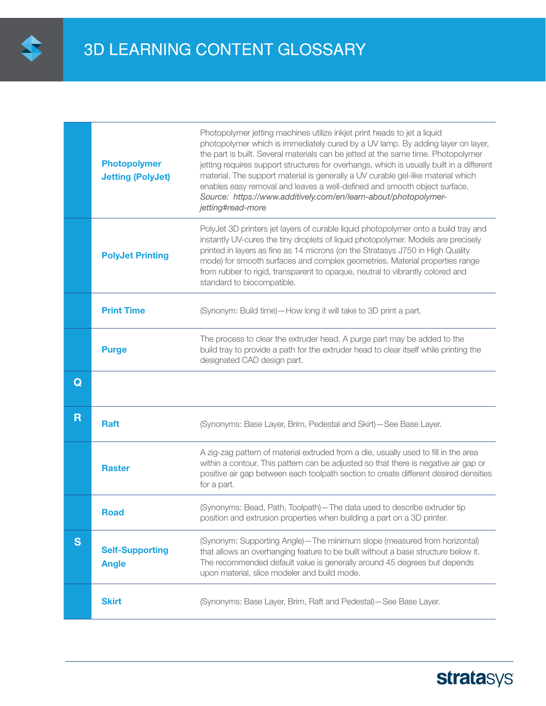

|                         | <b>Photopolymer</b><br><b>Jetting (PolyJet)</b> | Photopolymer jetting machines utilize inkjet print heads to jet a liquid<br>photopolymer which is immediately cured by a UV lamp. By adding layer on layer,<br>the part is built. Several materials can be jetted at the same time. Photopolymer<br>jetting requires support structures for overhangs, which is usually built in a different<br>material. The support material is generally a UV curable gel-like material which<br>enables easy removal and leaves a well-defined and smooth object surface.<br>Source: https://www.additively.com/en/learn-about/photopolymer-<br>jetting#read-more |
|-------------------------|-------------------------------------------------|-------------------------------------------------------------------------------------------------------------------------------------------------------------------------------------------------------------------------------------------------------------------------------------------------------------------------------------------------------------------------------------------------------------------------------------------------------------------------------------------------------------------------------------------------------------------------------------------------------|
|                         | <b>PolyJet Printing</b>                         | PolyJet 3D printers jet layers of curable liquid photopolymer onto a build tray and<br>instantly UV-cures the tiny droplets of liquid photopolymer. Models are precisely<br>printed in layers as fine as 14 microns (on the Stratasys J750 in High Quality<br>mode) for smooth surfaces and complex geometries. Material properties range<br>from rubber to rigid, transparent to opaque, neutral to vibrantly colored and<br>standard to biocompatible.                                                                                                                                              |
|                         | <b>Print Time</b>                               | (Synonym: Build time)-How long it will take to 3D print a part.                                                                                                                                                                                                                                                                                                                                                                                                                                                                                                                                       |
|                         | <b>Purge</b>                                    | The process to clear the extruder head. A purge part may be added to the<br>build tray to provide a path for the extruder head to clear itself while printing the<br>designated CAD design part.                                                                                                                                                                                                                                                                                                                                                                                                      |
| Q                       |                                                 |                                                                                                                                                                                                                                                                                                                                                                                                                                                                                                                                                                                                       |
| $\overline{\mathsf{R}}$ | <b>Raft</b>                                     | (Synonyms: Base Layer, Brim, Pedestal and Skirt)-See Base Layer.                                                                                                                                                                                                                                                                                                                                                                                                                                                                                                                                      |
|                         | <b>Raster</b>                                   | A zig-zag pattern of material extruded from a die, usually used to fill in the area<br>within a contour. This pattern can be adjusted so that there is negative air gap or<br>positive air gap between each toolpath section to create different desired densities<br>for a part.                                                                                                                                                                                                                                                                                                                     |
|                         | <b>Road</b>                                     | (Synonyms: Bead, Path, Toolpath)-The data used to describe extruder tip<br>position and extrusion properties when building a part on a 3D printer.                                                                                                                                                                                                                                                                                                                                                                                                                                                    |
| S                       | <b>Self-Supporting</b><br><b>Angle</b>          | (Synonym: Supporting Angle)-The minimum slope (measured from horizontal)<br>that allows an overhanging feature to be built without a base structure below it.<br>The recommended default value is generally around 45 degrees but depends<br>upon material, slice modeler and build mode.                                                                                                                                                                                                                                                                                                             |
|                         | <b>Skirt</b>                                    | (Synonyms: Base Layer, Brim, Raft and Pedestal)-See Base Layer.                                                                                                                                                                                                                                                                                                                                                                                                                                                                                                                                       |

# **stratasys**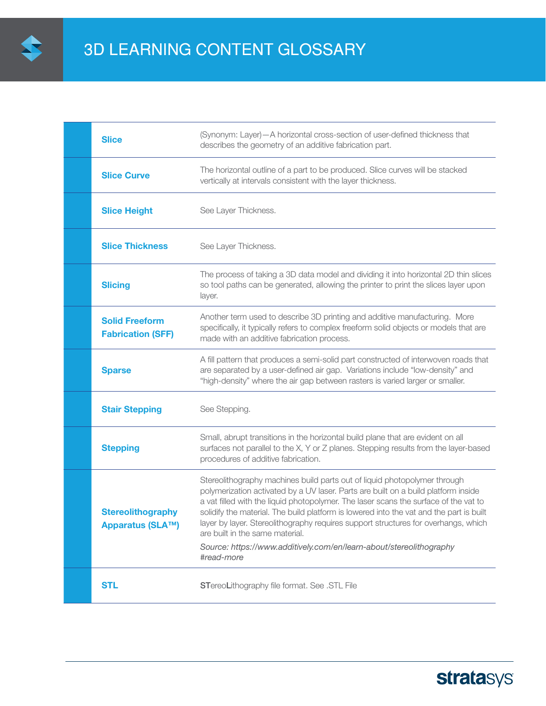

| <b>Slice</b>                                        | (Synonym: Layer) - A horizontal cross-section of user-defined thickness that<br>describes the geometry of an additive fabrication part.                                                                                                                                                                                                                                                                                                                                                                                                            |
|-----------------------------------------------------|----------------------------------------------------------------------------------------------------------------------------------------------------------------------------------------------------------------------------------------------------------------------------------------------------------------------------------------------------------------------------------------------------------------------------------------------------------------------------------------------------------------------------------------------------|
| <b>Slice Curve</b>                                  | The horizontal outline of a part to be produced. Slice curves will be stacked<br>vertically at intervals consistent with the layer thickness.                                                                                                                                                                                                                                                                                                                                                                                                      |
| <b>Slice Height</b>                                 | See Layer Thickness.                                                                                                                                                                                                                                                                                                                                                                                                                                                                                                                               |
| <b>Slice Thickness</b>                              | See Layer Thickness.                                                                                                                                                                                                                                                                                                                                                                                                                                                                                                                               |
| <b>Slicing</b>                                      | The process of taking a 3D data model and dividing it into horizontal 2D thin slices<br>so tool paths can be generated, allowing the printer to print the slices layer upon<br>layer.                                                                                                                                                                                                                                                                                                                                                              |
| <b>Solid Freeform</b><br><b>Fabrication (SFF)</b>   | Another term used to describe 3D printing and additive manufacturing. More<br>specifically, it typically refers to complex freeform solid objects or models that are<br>made with an additive fabrication process.                                                                                                                                                                                                                                                                                                                                 |
| <b>Sparse</b>                                       | A fill pattern that produces a semi-solid part constructed of interwoven roads that<br>are separated by a user-defined air gap. Variations include "low-density" and<br>"high-density" where the air gap between rasters is varied larger or smaller.                                                                                                                                                                                                                                                                                              |
| <b>Stair Stepping</b>                               | See Stepping.                                                                                                                                                                                                                                                                                                                                                                                                                                                                                                                                      |
| <b>Stepping</b>                                     | Small, abrupt transitions in the horizontal build plane that are evident on all<br>surfaces not parallel to the X, Y or Z planes. Stepping results from the layer-based<br>procedures of additive fabrication.                                                                                                                                                                                                                                                                                                                                     |
| <b>Stereolithography</b><br><b>Apparatus (SLA™)</b> | Stereolithography machines build parts out of liquid photopolymer through<br>polymerization activated by a UV laser. Parts are built on a build platform inside<br>a vat filled with the liquid photopolymer. The laser scans the surface of the vat to<br>solidify the material. The build platform is lowered into the vat and the part is built<br>layer by layer. Stereolithography requires support structures for overhangs, which<br>are built in the same material.<br>Source: https://www.additively.com/en/learn-about/stereolithography |
| <b>STL</b>                                          | #read-more<br>STereoLithography file format. See . STL File                                                                                                                                                                                                                                                                                                                                                                                                                                                                                        |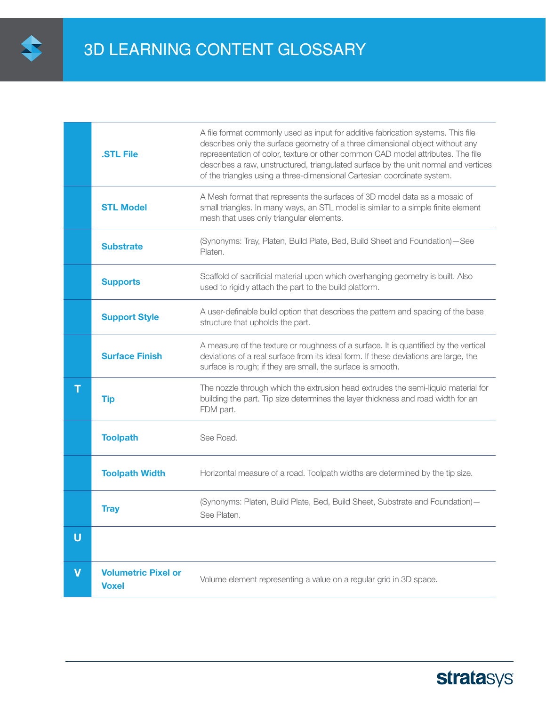

|                         | <b>STL File</b>                            | A file format commonly used as input for additive fabrication systems. This file<br>describes only the surface geometry of a three dimensional object without any<br>representation of color, texture or other common CAD model attributes. The file<br>describes a raw, unstructured, triangulated surface by the unit normal and vertices<br>of the triangles using a three-dimensional Cartesian coordinate system. |
|-------------------------|--------------------------------------------|------------------------------------------------------------------------------------------------------------------------------------------------------------------------------------------------------------------------------------------------------------------------------------------------------------------------------------------------------------------------------------------------------------------------|
|                         | <b>STL Model</b>                           | A Mesh format that represents the surfaces of 3D model data as a mosaic of<br>small triangles. In many ways, an STL model is similar to a simple finite element<br>mesh that uses only triangular elements.                                                                                                                                                                                                            |
|                         | <b>Substrate</b>                           | (Synonyms: Tray, Platen, Build Plate, Bed, Build Sheet and Foundation)-See<br>Platen.                                                                                                                                                                                                                                                                                                                                  |
|                         | <b>Supports</b>                            | Scaffold of sacrificial material upon which overhanging geometry is built. Also<br>used to rigidly attach the part to the build platform.                                                                                                                                                                                                                                                                              |
|                         | <b>Support Style</b>                       | A user-definable build option that describes the pattern and spacing of the base<br>structure that upholds the part.                                                                                                                                                                                                                                                                                                   |
|                         | <b>Surface Finish</b>                      | A measure of the texture or roughness of a surface. It is quantified by the vertical<br>deviations of a real surface from its ideal form. If these deviations are large, the<br>surface is rough; if they are small, the surface is smooth.                                                                                                                                                                            |
| T                       | <b>Tip</b>                                 | The nozzle through which the extrusion head extrudes the semi-liquid material for<br>building the part. Tip size determines the layer thickness and road width for an<br>FDM part.                                                                                                                                                                                                                                     |
|                         | <b>Toolpath</b>                            | See Road.                                                                                                                                                                                                                                                                                                                                                                                                              |
|                         | <b>Toolpath Width</b>                      | Horizontal measure of a road. Toolpath widths are determined by the tip size.                                                                                                                                                                                                                                                                                                                                          |
|                         | <b>Tray</b>                                | (Synonyms: Platen, Build Plate, Bed, Build Sheet, Substrate and Foundation)-<br>See Platen.                                                                                                                                                                                                                                                                                                                            |
| U                       |                                            |                                                                                                                                                                                                                                                                                                                                                                                                                        |
| $\overline{\mathsf{v}}$ | <b>Volumetric Pixel or</b><br><b>Voxel</b> | Volume element representing a value on a regular grid in 3D space.                                                                                                                                                                                                                                                                                                                                                     |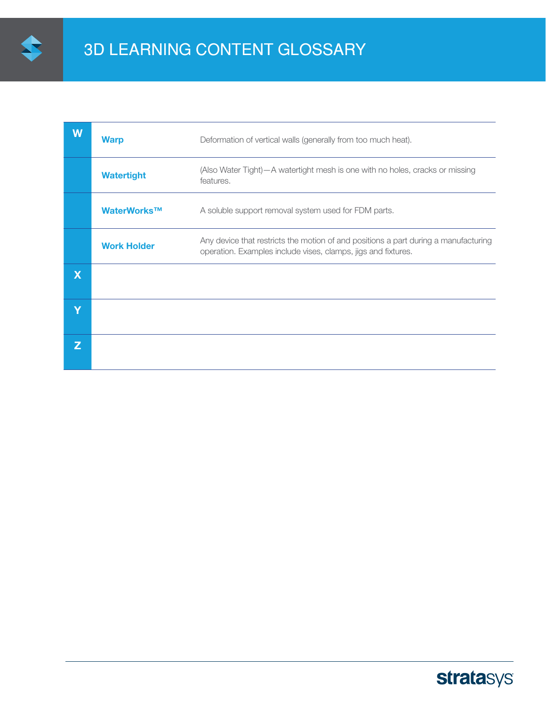

| W                       | <b>Warp</b>        | Deformation of vertical walls (generally from too much heat).                                                                                        |
|-------------------------|--------------------|------------------------------------------------------------------------------------------------------------------------------------------------------|
|                         | <b>Watertight</b>  | (Also Water Tight) - A watertight mesh is one with no holes, cracks or missing<br>features.                                                          |
|                         | WaterWorks™        | A soluble support removal system used for FDM parts.                                                                                                 |
|                         | <b>Work Holder</b> | Any device that restricts the motion of and positions a part during a manufacturing<br>operation. Examples include vises, clamps, jigs and fixtures. |
| $\overline{\mathsf{X}}$ |                    |                                                                                                                                                      |
| V                       |                    |                                                                                                                                                      |
| Z                       |                    |                                                                                                                                                      |

# **stratasys**